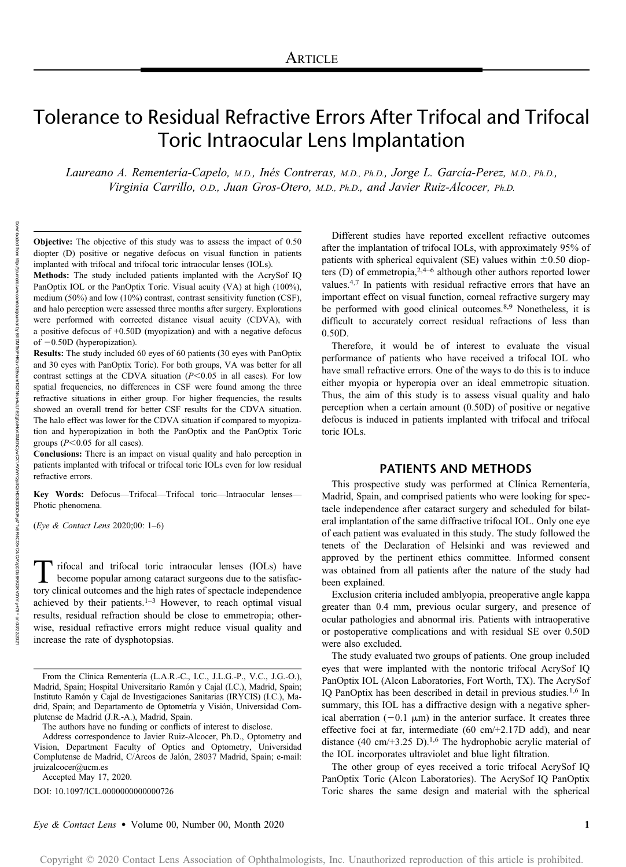# Tolerance to Residual Refractive Errors After Trifocal and Trifocal Toric Intraocular Lens Implantation

Laureano A. Rementería-Capelo, M.D., Inés Contreras, M.D., Ph.D., Jorge L. García-Perez, M.D., Ph.D., Virginia Carrillo, O.D., Juan Gros-Otero, M.D., Ph.D., and Javier Ruiz-Alcocer, Ph.D.

Objective: The objective of this study was to assess the impact of 0.50 diopter (D) positive or negative defocus on visual function in patients implanted with trifocal and trifocal toric intraocular lenses (IOLs).

Methods: The study included patients implanted with the AcrySof IQ PanOptix IOL or the PanOptix Toric. Visual acuity (VA) at high (100%), medium (50%) and low (10%) contrast, contrast sensitivity function (CSF), and halo perception were assessed three months after surgery. Explorations were performed with corrected distance visual acuity (CDVA), with a positive defocus of +0.50D (myopization) and with a negative defocus of  $-0.50D$  (hyperopization).

Results: The study included 60 eyes of 60 patients (30 eyes with PanOptix and 30 eyes with PanOptix Toric). For both groups, VA was better for all contrast settings at the CDVA situation  $(P<0.05$  in all cases). For low spatial frequencies, no differences in CSF were found among the three refractive situations in either group. For higher frequencies, the results showed an overall trend for better CSF results for the CDVA situation. The halo effect was lower for the CDVA situation if compared to myopization and hyperopization in both the PanOptix and the PanOptix Toric groups ( $P<0.05$  for all cases).

Conclusions: There is an impact on visual quality and halo perception in patients implanted with trifocal or trifocal toric IOLs even for low residual refractive errors.

Key Words: Defocus—Trifocal—Trifocal toric—Intraocular lenses— Photic phenomena.

(Eye & Contact Lens 2020;00: 1–6)

Trifocal and trifocal toric intraocular lenses (IOLs) have<br>become popular among cataract surgeons due to the satisfac-<br>term clinical outcomes and the bigh rates of apostole independence tory clinical outcomes and the high rates of spectacle independence achieved by their patients. $1-3$  However, to reach optimal visual results, residual refraction should be close to emmetropia; otherwise, residual refractive errors might reduce visual quality and increase the rate of dysphotopsias.

Accepted May 17, 2020.

DOI: 10.1097/ICL.0000000000000726

Different studies have reported excellent refractive outcomes after the implantation of trifocal IOLs, with approximately 95% of patients with spherical equivalent (SE) values within  $\pm 0.50$  diopters (D) of emmetropia,  $2,4,4,6$  although other authors reported lower values.4,7 In patients with residual refractive errors that have an important effect on visual function, corneal refractive surgery may be performed with good clinical outcomes.<sup>8,9</sup> Nonetheless, it is difficult to accurately correct residual refractions of less than 0.50D.

Therefore, it would be of interest to evaluate the visual performance of patients who have received a trifocal IOL who have small refractive errors. One of the ways to do this is to induce either myopia or hyperopia over an ideal emmetropic situation. Thus, the aim of this study is to assess visual quality and halo perception when a certain amount (0.50D) of positive or negative defocus is induced in patients implanted with trifocal and trifocal toric IOLs.

# PATIENTS AND METHODS

This prospective study was performed at Clínica Rementería, Madrid, Spain, and comprised patients who were looking for spectacle independence after cataract surgery and scheduled for bilateral implantation of the same diffractive trifocal IOL. Only one eye of each patient was evaluated in this study. The study followed the tenets of the Declaration of Helsinki and was reviewed and approved by the pertinent ethics committee. Informed consent was obtained from all patients after the nature of the study had been explained.

Exclusion criteria included amblyopia, preoperative angle kappa greater than 0.4 mm, previous ocular surgery, and presence of ocular pathologies and abnormal iris. Patients with intraoperative or postoperative complications and with residual SE over 0.50D were also excluded.

The study evaluated two groups of patients. One group included eyes that were implanted with the nontoric trifocal AcrySof IQ PanOptix IOL (Alcon Laboratories, Fort Worth, TX). The AcrySof IQ PanOptix has been described in detail in previous studies.1,6 In summary, this IOL has a diffractive design with a negative spherical aberration  $(-0.1 \mu m)$  in the anterior surface. It creates three effective foci at far, intermediate (60 cm/+2.17D add), and near distance (40 cm/+3.25 D).<sup>1,6</sup> The hydrophobic acrylic material of the IOL incorporates ultraviolet and blue light filtration.

The other group of eyes received a toric trifocal AcrySof IQ PanOptix Toric (Alcon Laboratories). The AcrySof IQ PanOptix Toric shares the same design and material with the spherical

From the Clínica Rementería (L.A.R.-C., I.C., J.L.G.-P., V.C., J.G.-O.), Madrid, Spain; Hospital Universitario Ramón y Cajal (I.C.), Madrid, Spain; Instituto Ramón y Cajal de Investigaciones Sanitarias (IRYCIS) (I.C.), Madrid, Spain; and Departamento de Optometría y Visión, Universidad Complutense de Madrid (J.R.-A.), Madrid, Spain.

The authors have no funding or conflicts of interest to disclose.

Address correspondence to Javier Ruiz-Alcocer, Ph.D., Optometry and Vision, Department Faculty of Optics and Optometry, Universidad Complutense de Madrid, C/Arcos de Jalón, 28037 Madrid, Spain; e-mail: [jruizalcocer@ucm.es](mailto:jruizalcocer@ucm.es)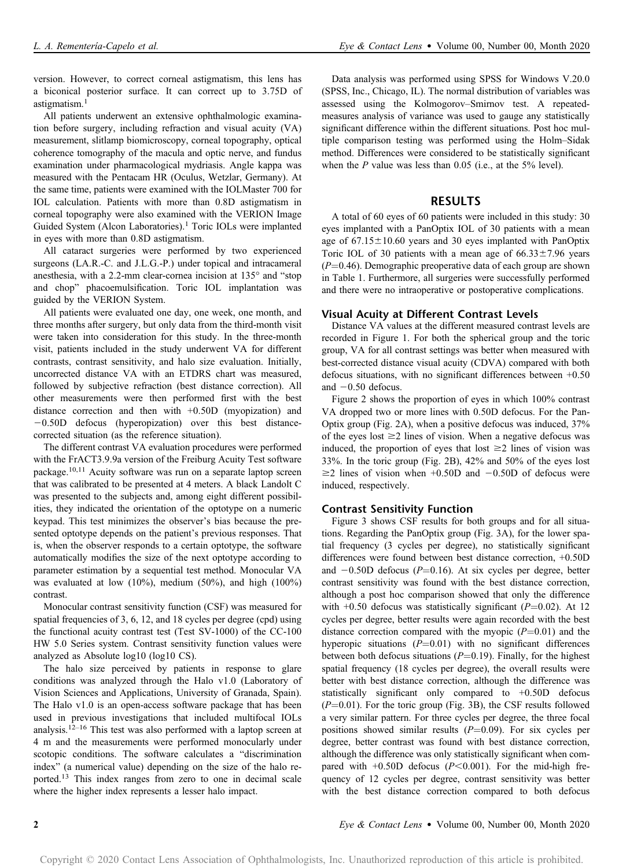version. However, to correct corneal astigmatism, this lens has a biconical posterior surface. It can correct up to 3.75D of astigmatism.<sup>1</sup>

All patients underwent an extensive ophthalmologic examination before surgery, including refraction and visual acuity (VA) measurement, slitlamp biomicroscopy, corneal topography, optical coherence tomography of the macula and optic nerve, and fundus examination under pharmacological mydriasis. Angle kappa was measured with the Pentacam HR (Oculus, Wetzlar, Germany). At the same time, patients were examined with the IOLMaster 700 for IOL calculation. Patients with more than 0.8D astigmatism in corneal topography were also examined with the VERION Image Guided System (Alcon Laboratories).<sup>1</sup> Toric IOLs were implanted in eyes with more than 0.8D astigmatism.

All cataract surgeries were performed by two experienced surgeons (LA.R.-C. and J.L.G.-P.) under topical and intracameral anesthesia, with a 2.2-mm clear-cornea incision at 135° and "stop and chop" phacoemulsification. Toric IOL implantation was guided by the VERION System.

All patients were evaluated one day, one week, one month, and three months after surgery, but only data from the third-month visit were taken into consideration for this study. In the three-month visit, patients included in the study underwent VA for different contrasts, contrast sensitivity, and halo size evaluation. Initially, uncorrected distance VA with an ETDRS chart was measured, followed by subjective refraction (best distance correction). All other measurements were then performed first with the best distance correction and then with +0.50D (myopization) and  $-0.50D$  defocus (hyperopization) over this best distancecorrected situation (as the reference situation).

The different contrast VA evaluation procedures were performed with the FrACT3.9.9a version of the Freiburg Acuity Test software package.10,11 Acuity software was run on a separate laptop screen that was calibrated to be presented at 4 meters. A black Landolt C was presented to the subjects and, among eight different possibilities, they indicated the orientation of the optotype on a numeric keypad. This test minimizes the observer's bias because the presented optotype depends on the patient's previous responses. That is, when the observer responds to a certain optotype, the software automatically modifies the size of the next optotype according to parameter estimation by a sequential test method. Monocular VA was evaluated at low (10%), medium (50%), and high (100%) contrast.

Monocular contrast sensitivity function (CSF) was measured for spatial frequencies of 3, 6, 12, and 18 cycles per degree (cpd) using the functional acuity contrast test (Test SV-1000) of the CC-100 HW 5.0 Series system. Contrast sensitivity function values were analyzed as Absolute log10 (log10 CS).

The halo size perceived by patients in response to glare conditions was analyzed through the Halo v1.0 (Laboratory of Vision Sciences and Applications, University of Granada, Spain). The Halo v1.0 is an open-access software package that has been used in previous investigations that included multifocal IOLs analysis.<sup>12–16</sup> This test was also performed with a laptop screen at 4 m and the measurements were performed monocularly under scotopic conditions. The software calculates a "discrimination index" (a numerical value) depending on the size of the halo reported.<sup>13</sup> This index ranges from zero to one in decimal scale where the higher index represents a lesser halo impact.

Data analysis was performed using SPSS for Windows V.20.0 (SPSS, Inc., Chicago, IL). The normal distribution of variables was assessed using the Kolmogorov–Smirnov test. A repeatedmeasures analysis of variance was used to gauge any statistically significant difference within the different situations. Post hoc multiple comparison testing was performed using the Holm–Sidak method. Differences were considered to be statistically significant when the  $P$  value was less than 0.05 (i.e., at the 5% level).

### RESULTS

A total of 60 eyes of 60 patients were included in this study: 30 eyes implanted with a PanOptix IOL of 30 patients with a mean age of  $67.15 \pm 10.60$  years and 30 eyes implanted with PanOptix Toric IOL of 30 patients with a mean age of  $66.33 \pm 7.96$  years  $(P=0.46)$ . Demographic preoperative data of each group are shown in Table 1. Furthermore, all surgeries were successfully performed and there were no intraoperative or postoperative complications.

#### Visual Acuity at Different Contrast Levels

Distance VA values at the different measured contrast levels are recorded in Figure 1. For both the spherical group and the toric group, VA for all contrast settings was better when measured with best-corrected distance visual acuity (CDVA) compared with both defocus situations, with no significant differences between +0.50 and  $-0.50$  defocus.

Figure 2 shows the proportion of eyes in which 100% contrast VA dropped two or more lines with 0.50D defocus. For the Pan-Optix group (Fig. 2A), when a positive defocus was induced, 37% of the eyes lost  $\geq$  lines of vision. When a negative defocus was induced, the proportion of eyes that lost  $\geq 2$  lines of vision was 33%. In the toric group (Fig. 2B), 42% and 50% of the eyes lost  $\geq$ 2 lines of vision when +0.50D and -0.50D of defocus were induced, respectively.

#### Contrast Sensitivity Function

Figure 3 shows CSF results for both groups and for all situations. Regarding the PanOptix group (Fig. 3A), for the lower spatial frequency (3 cycles per degree), no statistically significant differences were found between best distance correction, +0.50D and  $-0.50D$  defocus ( $P=0.16$ ). At six cycles per degree, better contrast sensitivity was found with the best distance correction, although a post hoc comparison showed that only the difference with  $+0.50$  defocus was statistically significant ( $P=0.02$ ). At 12 cycles per degree, better results were again recorded with the best distance correction compared with the myopic  $(P=0.01)$  and the hyperopic situations  $(P=0.01)$  with no significant differences between both defocus situations  $(P=0.19)$ . Finally, for the highest spatial frequency (18 cycles per degree), the overall results were better with best distance correction, although the difference was statistically significant only compared to +0.50D defocus  $(P=0.01)$ . For the toric group (Fig. 3B), the CSF results followed a very similar pattern. For three cycles per degree, the three focal positions showed similar results  $(P=0.09)$ . For six cycles per degree, better contrast was found with best distance correction, although the difference was only statistically significant when compared with  $+0.50D$  defocus ( $P<0.001$ ). For the mid-high frequency of 12 cycles per degree, contrast sensitivity was better with the best distance correction compared to both defocus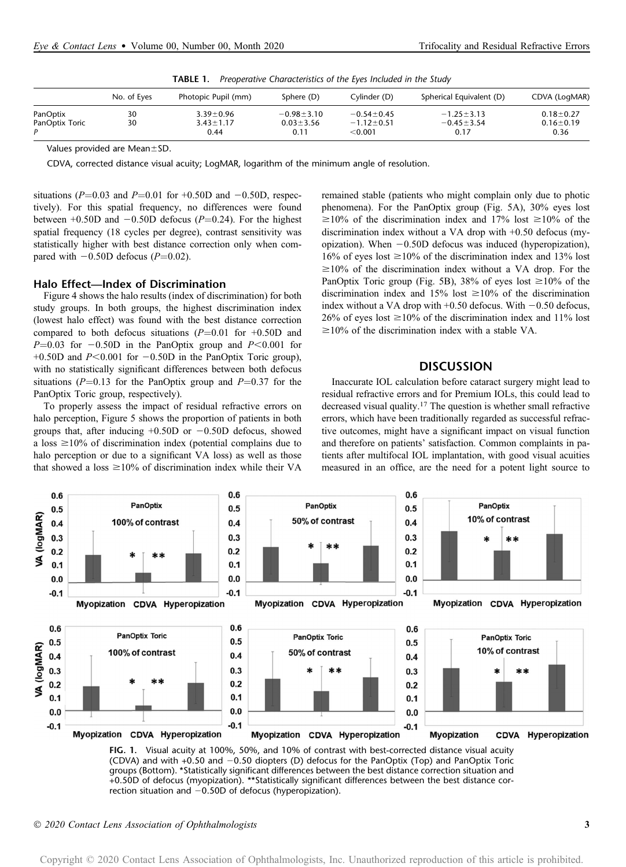| IADLE I.<br>- Preoperative Characteristics of the Eyes included in the Study |             |                     |                  |                  |                          |                 |
|------------------------------------------------------------------------------|-------------|---------------------|------------------|------------------|--------------------------|-----------------|
|                                                                              | No. of Eyes | Photopic Pupil (mm) | Sphere (D)       | Cylinder (D)     | Spherical Equivalent (D) | CDVA (LogMAR)   |
| PanOptix                                                                     | 30          | $3.39 \pm 0.96$     | $-0.98 \pm 3.10$ | $-0.54 \pm 0.45$ | $-1.25 \pm 3.13$         | $0.18 + 0.27$   |
| PanOptix Toric                                                               | 30          | $3.43 \pm 1.17$     | $0.03 \pm 3.56$  | $-1.12 \pm 0.51$ | $-0.45 \pm 3.54$         | $0.16 \pm 0.19$ |
|                                                                              |             | 0.44                | 0.11             | $<$ 0.001        | 0.17                     | 0.36            |

TABLE 1. Preoperative Characteristics of the Eyes Included in the Study

Values provided are Mean±SD.

CDVA, corrected distance visual acuity; LogMAR, logarithm of the minimum angle of resolution.

situations ( $P=0.03$  and  $P=0.01$  for +0.50D and  $-0.50D$ , respectively). For this spatial frequency, no differences were found between  $+0.50D$  and  $-0.50D$  defocus (P=0.24). For the highest spatial frequency (18 cycles per degree), contrast sensitivity was statistically higher with best distance correction only when compared with  $-0.50D$  defocus ( $P=0.02$ ).

## Halo Effect—Index of Discrimination

Figure 4 shows the halo results (index of discrimination) for both study groups. In both groups, the highest discrimination index (lowest halo effect) was found with the best distance correction compared to both defocus situations  $(P=0.01$  for  $+0.50D$  and  $P=0.03$  for  $-0.50D$  in the PanOptix group and  $P<0.001$  for +0.50D and  $P \le 0.001$  for  $-0.50D$  in the PanOptix Toric group), with no statistically significant differences between both defocus situations ( $P=0.13$  for the PanOptix group and  $P=0.37$  for the PanOptix Toric group, respectively).

To properly assess the impact of residual refractive errors on halo perception, Figure 5 shows the proportion of patients in both groups that, after inducing  $+0.50D$  or  $-0.50D$  defocus, showed a loss  $\geq$ 10% of discrimination index (potential complains due to halo perception or due to a significant VA loss) as well as those that showed a loss  $\geq 10\%$  of discrimination index while their VA

remained stable (patients who might complain only due to photic phenomena). For the PanOptix group (Fig. 5A), 30% eyes lost  $\geq 10\%$  of the discrimination index and 17% lost  $\geq 10\%$  of the discrimination index without a VA drop with +0.50 defocus (myopization). When  $-0.50D$  defocus was induced (hyperopization), 16% of eyes lost  $\geq$ 10% of the discrimination index and 13% lost  $\geq 10\%$  of the discrimination index without a VA drop. For the PanOptix Toric group (Fig. 5B), 38% of eyes lost  $\geq$ 10% of the discrimination index and 15% lost  $\geq 10\%$  of the discrimination index without a VA drop with  $+0.50$  defocus. With  $-0.50$  defocus, 26% of eyes lost  $\geq 10\%$  of the discrimination index and 11% lost  $\geq$ 10% of the discrimination index with a stable VA.

# **DISCUSSION**

Inaccurate IOL calculation before cataract surgery might lead to residual refractive errors and for Premium IOLs, this could lead to decreased visual quality.<sup>17</sup> The question is whether small refractive errors, which have been traditionally regarded as successful refractive outcomes, might have a significant impact on visual function and therefore on patients' satisfaction. Common complaints in patients after multifocal IOL implantation, with good visual acuities measured in an office, are the need for a potent light source to



FIG. 1. Visual acuity at 100%, 50%, and 10% of contrast with best-corrected distance visual acuity (CDVA) and with  $+0.50$  and  $-0.50$  diopters (D) defocus for the PanOptix (Top) and PanOptix Toric groups (Bottom). \*Statistically significant differences between the best distance correction situation and +0.50D of defocus (myopization). \*\*Statistically significant differences between the best distance correction situation and  $-0.50D$  of defocus (hyperopization).

2020 Contact Lens Association of Ophthalmologists 3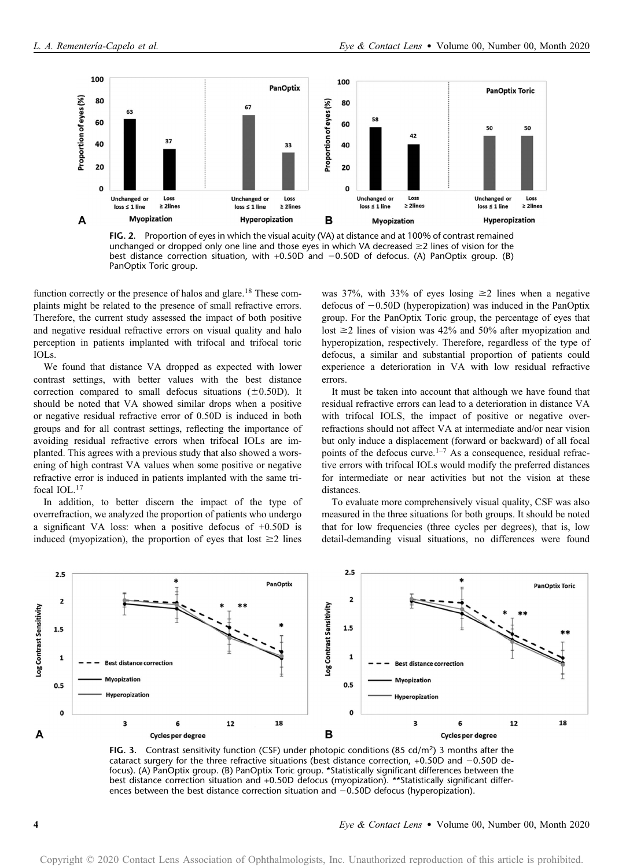

FIG. 2. Proportion of eyes in which the visual acuity (VA) at distance and at 100% of contrast remained unchanged or dropped only one line and those eyes in which VA decreased  $\geq$  lines of vision for the best distance correction situation, with  $+0.50D$  and  $-0.50D$  of defocus. (A) PanOptix group. (B) PanOptix Toric group.

function correctly or the presence of halos and glare.<sup>18</sup> These complaints might be related to the presence of small refractive errors. Therefore, the current study assessed the impact of both positive and negative residual refractive errors on visual quality and halo perception in patients implanted with trifocal and trifocal toric IOLs.

We found that distance VA dropped as expected with lower contrast settings, with better values with the best distance correction compared to small defocus situations  $(\pm 0.50D)$ . It should be noted that VA showed similar drops when a positive or negative residual refractive error of 0.50D is induced in both groups and for all contrast settings, reflecting the importance of avoiding residual refractive errors when trifocal IOLs are implanted. This agrees with a previous study that also showed a worsening of high contrast VA values when some positive or negative refractive error is induced in patients implanted with the same trifocal IOL.17

In addition, to better discern the impact of the type of overrefraction, we analyzed the proportion of patients who undergo a significant VA loss: when a positive defocus of +0.50D is induced (myopization), the proportion of eyes that lost  $\geq 2$  lines was 37%, with 33% of eyes losing  $\geq$  2 lines when a negative defocus of  $-0.50D$  (hyperopization) was induced in the PanOptix group. For the PanOptix Toric group, the percentage of eyes that lost  $\geq$  2 lines of vision was 42% and 50% after myopization and hyperopization, respectively. Therefore, regardless of the type of defocus, a similar and substantial proportion of patients could experience a deterioration in VA with low residual refractive errors.

It must be taken into account that although we have found that residual refractive errors can lead to a deterioration in distance VA with trifocal IOLS, the impact of positive or negative overrefractions should not affect VA at intermediate and/or near vision but only induce a displacement (forward or backward) of all focal points of the defocus curve.<sup>1–7</sup> As a consequence, residual refractive errors with trifocal IOLs would modify the preferred distances for intermediate or near activities but not the vision at these distances.

To evaluate more comprehensively visual quality, CSF was also measured in the three situations for both groups. It should be noted that for low frequencies (three cycles per degrees), that is, low detail-demanding visual situations, no differences were found



FIG. 3. Contrast sensitivity function (CSF) under photopic conditions (85 cd/m<sup>2</sup>) 3 months after the cataract surgery for the three refractive situations (best distance correction, +0.50D and  $-0.50D$  defocus). (A) PanOptix group. (B) PanOptix Toric group. \*Statistically significant differences between the best distance correction situation and +0.50D defocus (myopization). \*\*Statistically significant differences between the best distance correction situation and  $-0.50D$  defocus (hyperopization).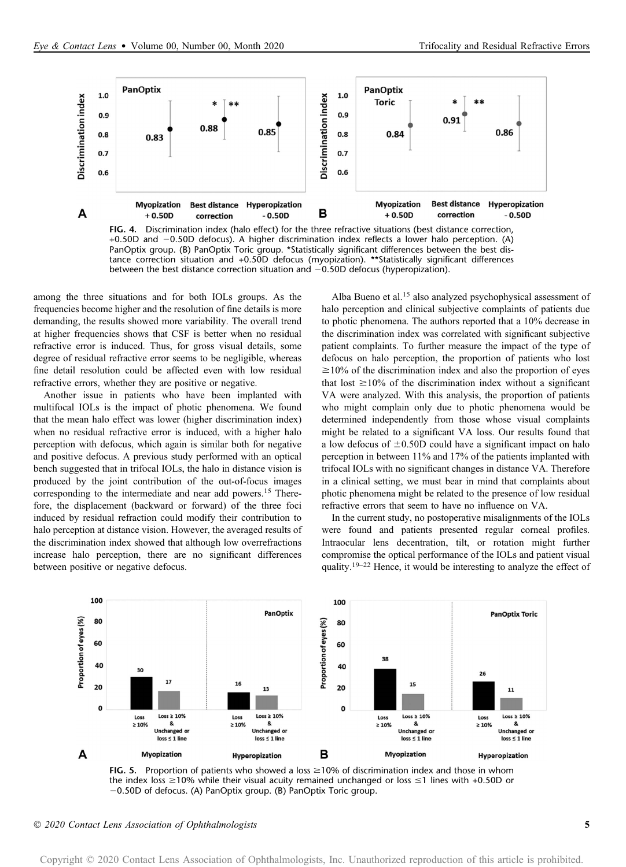

FIG. 4. Discrimination index (halo effect) for the three refractive situations (best distance correction, +0.50D and 20.50D defocus). A higher discrimination index reflects a lower halo perception. (A) PanOptix group. (B) PanOptix Toric group. \*Statistically significant differences between the best distance correction situation and +0.50D defocus (myopization). \*\*Statistically significant differences between the best distance correction situation and  $-0.50D$  defocus (hyperopization).

among the three situations and for both IOLs groups. As the frequencies become higher and the resolution of fine details is more demanding, the results showed more variability. The overall trend at higher frequencies shows that CSF is better when no residual refractive error is induced. Thus, for gross visual details, some degree of residual refractive error seems to be negligible, whereas fine detail resolution could be affected even with low residual refractive errors, whether they are positive or negative.

Another issue in patients who have been implanted with multifocal IOLs is the impact of photic phenomena. We found that the mean halo effect was lower (higher discrimination index) when no residual refractive error is induced, with a higher halo perception with defocus, which again is similar both for negative and positive defocus. A previous study performed with an optical bench suggested that in trifocal IOLs, the halo in distance vision is produced by the joint contribution of the out-of-focus images corresponding to the intermediate and near add powers.<sup>15</sup> Therefore, the displacement (backward or forward) of the three foci induced by residual refraction could modify their contribution to halo perception at distance vision. However, the averaged results of the discrimination index showed that although low overrefractions increase halo perception, there are no significant differences between positive or negative defocus.

Alba Bueno et al.<sup>15</sup> also analyzed psychophysical assessment of halo perception and clinical subjective complaints of patients due to photic phenomena. The authors reported that a 10% decrease in the discrimination index was correlated with significant subjective patient complaints. To further measure the impact of the type of defocus on halo perception, the proportion of patients who lost  $\geq$ 10% of the discrimination index and also the proportion of eyes that lost  $\geq 10\%$  of the discrimination index without a significant VA were analyzed. With this analysis, the proportion of patients who might complain only due to photic phenomena would be determined independently from those whose visual complaints might be related to a significant VA loss. Our results found that a low defocus of  $\pm 0.50D$  could have a significant impact on halo perception in between 11% and 17% of the patients implanted with trifocal IOLs with no significant changes in distance VA. Therefore in a clinical setting, we must bear in mind that complaints about photic phenomena might be related to the presence of low residual refractive errors that seem to have no influence on VA.

In the current study, no postoperative misalignments of the IOLs were found and patients presented regular corneal profiles. Intraocular lens decentration, tilt, or rotation might further compromise the optical performance of the IOLs and patient visual quality.<sup>19–22</sup> Hence, it would be interesting to analyze the effect of



FIG. 5. Proportion of patients who showed a loss  $\geq$ 10% of discrimination index and those in whom the index loss  $\geq$  10% while their visual acuity remained unchanged or loss  $\leq$  1 lines with +0.50D or -0.50D of defocus. (A) PanOptix group. (B) PanOptix Toric group.

2020 Contact Lens Association of Ophthalmologists 5